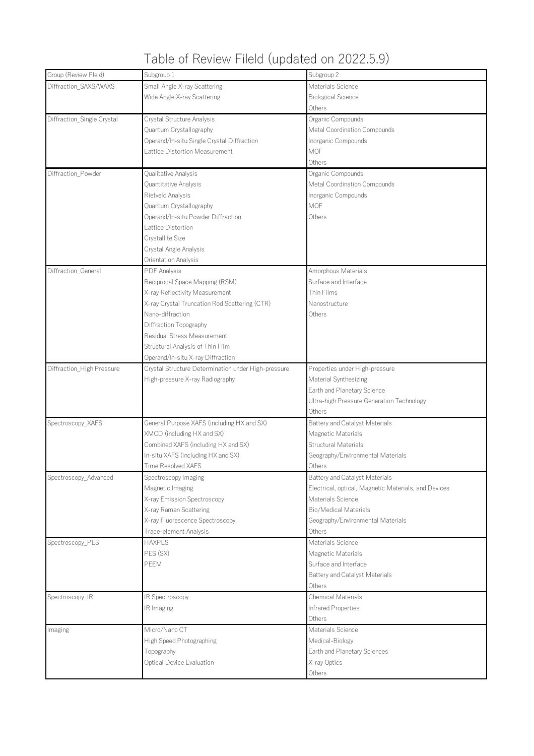## Table of Review Fileld (updated on 2022.5.9)

| Diffraction_SAXS/WAXS<br>Small Angle X-ray Scattering<br>Materials Science<br><b>Biological Science</b><br>Wide Angle X-ray Scattering<br>Others<br>Diffraction_Single Crystal<br>Crystal Structure Analysis<br>Organic Compounds<br>Quantum Crystallography<br>Metal Coordination Compounds<br>Operand/In-situ Single Crystal Diffraction<br>Inorganic Compounds<br>Lattice Distortion Measurement<br><b>MOF</b><br>Others<br>Diffraction_Powder<br>Organic Compounds<br>Qualitative Analysis<br>Metal Coordination Compounds<br>Quantitative Analysis<br>Inorganic Compounds<br>Rietveld Analysis<br>MOF<br>Quantum Crystallography<br>Operand/In-situ Powder Diffraction<br>Others<br>Lattice Distortion<br>Crystallite Size<br>Crystal Angle Analysis<br>Orientation Analysis<br>Diffraction_General<br>PDF Analysis<br>Amorphous Materials<br>Reciprocal Space Mapping (RSM)<br>Surface and Interface<br>Thin Films<br>X-ray Reflectivity Measurement<br>X-ray Crystal Truncation Rod Scattering (CTR)<br>Nanostructure<br>Nano-diffraction<br>Others<br>Diffraction Topography<br>Residual Stress Measurement<br>Structural Analysis of Thin Film<br>Operand/In-situ X-ray Diffraction<br>Diffraction_High Pressure<br>Crystal Structure Determination under High-pressure<br>Properties under High-pressure<br>High-pressure X-ray Radiography<br>Material Synthesizing<br>Earth and Planetary Science<br>Ultra-high Pressure Generation Technology<br>Others<br>Spectroscopy XAFS<br>General Purpose XAFS (including HX and SX)<br>Battery and Catalyst Materials<br>XMCD (including HX and SX)<br>Magnetic Materials<br><b>Structural Materials</b><br>Combined XAFS (including HX and SX)<br>In-situ XAFS (including HX and SX)<br>Geography/Environmental Materials<br>Time Resolved XAFS<br>Others<br>Spectroscopy_Advanced<br><b>Battery and Catalyst Materials</b><br>Spectroscopy Imaging<br>Magnetic Imaging<br>Electrical, optical, Magnetic Materials, and Devices<br>X-ray Emission Spectroscopy<br>Materials Science<br>X-ray Raman Scattering<br><b>Bio/Medical Materials</b><br>X-ray Fluorescence Spectroscopy<br>Geography/Environmental Materials<br>Trace-element Analysis<br>Others<br>Spectroscopy_PES<br><b>HAXPES</b><br>Materials Science<br>PES (SX)<br>Magnetic Materials<br>PEEM<br>Surface and Interface<br>Battery and Catalyst Materials<br>Others | Group (Review Fleld) | Subgroup 1 | Subgroup 2 |
|-----------------------------------------------------------------------------------------------------------------------------------------------------------------------------------------------------------------------------------------------------------------------------------------------------------------------------------------------------------------------------------------------------------------------------------------------------------------------------------------------------------------------------------------------------------------------------------------------------------------------------------------------------------------------------------------------------------------------------------------------------------------------------------------------------------------------------------------------------------------------------------------------------------------------------------------------------------------------------------------------------------------------------------------------------------------------------------------------------------------------------------------------------------------------------------------------------------------------------------------------------------------------------------------------------------------------------------------------------------------------------------------------------------------------------------------------------------------------------------------------------------------------------------------------------------------------------------------------------------------------------------------------------------------------------------------------------------------------------------------------------------------------------------------------------------------------------------------------------------------------------------------------------------------------------------------------------------------------------------------------------------------------------------------------------------------------------------------------------------------------------------------------------------------------------------------------------------------------------------------------------------------------------------------------------------------------------------------------------------------------------------------|----------------------|------------|------------|
|                                                                                                                                                                                                                                                                                                                                                                                                                                                                                                                                                                                                                                                                                                                                                                                                                                                                                                                                                                                                                                                                                                                                                                                                                                                                                                                                                                                                                                                                                                                                                                                                                                                                                                                                                                                                                                                                                                                                                                                                                                                                                                                                                                                                                                                                                                                                                                                         |                      |            |            |
|                                                                                                                                                                                                                                                                                                                                                                                                                                                                                                                                                                                                                                                                                                                                                                                                                                                                                                                                                                                                                                                                                                                                                                                                                                                                                                                                                                                                                                                                                                                                                                                                                                                                                                                                                                                                                                                                                                                                                                                                                                                                                                                                                                                                                                                                                                                                                                                         |                      |            |            |
|                                                                                                                                                                                                                                                                                                                                                                                                                                                                                                                                                                                                                                                                                                                                                                                                                                                                                                                                                                                                                                                                                                                                                                                                                                                                                                                                                                                                                                                                                                                                                                                                                                                                                                                                                                                                                                                                                                                                                                                                                                                                                                                                                                                                                                                                                                                                                                                         |                      |            |            |
|                                                                                                                                                                                                                                                                                                                                                                                                                                                                                                                                                                                                                                                                                                                                                                                                                                                                                                                                                                                                                                                                                                                                                                                                                                                                                                                                                                                                                                                                                                                                                                                                                                                                                                                                                                                                                                                                                                                                                                                                                                                                                                                                                                                                                                                                                                                                                                                         |                      |            |            |
|                                                                                                                                                                                                                                                                                                                                                                                                                                                                                                                                                                                                                                                                                                                                                                                                                                                                                                                                                                                                                                                                                                                                                                                                                                                                                                                                                                                                                                                                                                                                                                                                                                                                                                                                                                                                                                                                                                                                                                                                                                                                                                                                                                                                                                                                                                                                                                                         |                      |            |            |
|                                                                                                                                                                                                                                                                                                                                                                                                                                                                                                                                                                                                                                                                                                                                                                                                                                                                                                                                                                                                                                                                                                                                                                                                                                                                                                                                                                                                                                                                                                                                                                                                                                                                                                                                                                                                                                                                                                                                                                                                                                                                                                                                                                                                                                                                                                                                                                                         |                      |            |            |
|                                                                                                                                                                                                                                                                                                                                                                                                                                                                                                                                                                                                                                                                                                                                                                                                                                                                                                                                                                                                                                                                                                                                                                                                                                                                                                                                                                                                                                                                                                                                                                                                                                                                                                                                                                                                                                                                                                                                                                                                                                                                                                                                                                                                                                                                                                                                                                                         |                      |            |            |
|                                                                                                                                                                                                                                                                                                                                                                                                                                                                                                                                                                                                                                                                                                                                                                                                                                                                                                                                                                                                                                                                                                                                                                                                                                                                                                                                                                                                                                                                                                                                                                                                                                                                                                                                                                                                                                                                                                                                                                                                                                                                                                                                                                                                                                                                                                                                                                                         |                      |            |            |
|                                                                                                                                                                                                                                                                                                                                                                                                                                                                                                                                                                                                                                                                                                                                                                                                                                                                                                                                                                                                                                                                                                                                                                                                                                                                                                                                                                                                                                                                                                                                                                                                                                                                                                                                                                                                                                                                                                                                                                                                                                                                                                                                                                                                                                                                                                                                                                                         |                      |            |            |
|                                                                                                                                                                                                                                                                                                                                                                                                                                                                                                                                                                                                                                                                                                                                                                                                                                                                                                                                                                                                                                                                                                                                                                                                                                                                                                                                                                                                                                                                                                                                                                                                                                                                                                                                                                                                                                                                                                                                                                                                                                                                                                                                                                                                                                                                                                                                                                                         |                      |            |            |
|                                                                                                                                                                                                                                                                                                                                                                                                                                                                                                                                                                                                                                                                                                                                                                                                                                                                                                                                                                                                                                                                                                                                                                                                                                                                                                                                                                                                                                                                                                                                                                                                                                                                                                                                                                                                                                                                                                                                                                                                                                                                                                                                                                                                                                                                                                                                                                                         |                      |            |            |
|                                                                                                                                                                                                                                                                                                                                                                                                                                                                                                                                                                                                                                                                                                                                                                                                                                                                                                                                                                                                                                                                                                                                                                                                                                                                                                                                                                                                                                                                                                                                                                                                                                                                                                                                                                                                                                                                                                                                                                                                                                                                                                                                                                                                                                                                                                                                                                                         |                      |            |            |
|                                                                                                                                                                                                                                                                                                                                                                                                                                                                                                                                                                                                                                                                                                                                                                                                                                                                                                                                                                                                                                                                                                                                                                                                                                                                                                                                                                                                                                                                                                                                                                                                                                                                                                                                                                                                                                                                                                                                                                                                                                                                                                                                                                                                                                                                                                                                                                                         |                      |            |            |
|                                                                                                                                                                                                                                                                                                                                                                                                                                                                                                                                                                                                                                                                                                                                                                                                                                                                                                                                                                                                                                                                                                                                                                                                                                                                                                                                                                                                                                                                                                                                                                                                                                                                                                                                                                                                                                                                                                                                                                                                                                                                                                                                                                                                                                                                                                                                                                                         |                      |            |            |
|                                                                                                                                                                                                                                                                                                                                                                                                                                                                                                                                                                                                                                                                                                                                                                                                                                                                                                                                                                                                                                                                                                                                                                                                                                                                                                                                                                                                                                                                                                                                                                                                                                                                                                                                                                                                                                                                                                                                                                                                                                                                                                                                                                                                                                                                                                                                                                                         |                      |            |            |
|                                                                                                                                                                                                                                                                                                                                                                                                                                                                                                                                                                                                                                                                                                                                                                                                                                                                                                                                                                                                                                                                                                                                                                                                                                                                                                                                                                                                                                                                                                                                                                                                                                                                                                                                                                                                                                                                                                                                                                                                                                                                                                                                                                                                                                                                                                                                                                                         |                      |            |            |
|                                                                                                                                                                                                                                                                                                                                                                                                                                                                                                                                                                                                                                                                                                                                                                                                                                                                                                                                                                                                                                                                                                                                                                                                                                                                                                                                                                                                                                                                                                                                                                                                                                                                                                                                                                                                                                                                                                                                                                                                                                                                                                                                                                                                                                                                                                                                                                                         |                      |            |            |
|                                                                                                                                                                                                                                                                                                                                                                                                                                                                                                                                                                                                                                                                                                                                                                                                                                                                                                                                                                                                                                                                                                                                                                                                                                                                                                                                                                                                                                                                                                                                                                                                                                                                                                                                                                                                                                                                                                                                                                                                                                                                                                                                                                                                                                                                                                                                                                                         |                      |            |            |
|                                                                                                                                                                                                                                                                                                                                                                                                                                                                                                                                                                                                                                                                                                                                                                                                                                                                                                                                                                                                                                                                                                                                                                                                                                                                                                                                                                                                                                                                                                                                                                                                                                                                                                                                                                                                                                                                                                                                                                                                                                                                                                                                                                                                                                                                                                                                                                                         |                      |            |            |
|                                                                                                                                                                                                                                                                                                                                                                                                                                                                                                                                                                                                                                                                                                                                                                                                                                                                                                                                                                                                                                                                                                                                                                                                                                                                                                                                                                                                                                                                                                                                                                                                                                                                                                                                                                                                                                                                                                                                                                                                                                                                                                                                                                                                                                                                                                                                                                                         |                      |            |            |
|                                                                                                                                                                                                                                                                                                                                                                                                                                                                                                                                                                                                                                                                                                                                                                                                                                                                                                                                                                                                                                                                                                                                                                                                                                                                                                                                                                                                                                                                                                                                                                                                                                                                                                                                                                                                                                                                                                                                                                                                                                                                                                                                                                                                                                                                                                                                                                                         |                      |            |            |
|                                                                                                                                                                                                                                                                                                                                                                                                                                                                                                                                                                                                                                                                                                                                                                                                                                                                                                                                                                                                                                                                                                                                                                                                                                                                                                                                                                                                                                                                                                                                                                                                                                                                                                                                                                                                                                                                                                                                                                                                                                                                                                                                                                                                                                                                                                                                                                                         |                      |            |            |
|                                                                                                                                                                                                                                                                                                                                                                                                                                                                                                                                                                                                                                                                                                                                                                                                                                                                                                                                                                                                                                                                                                                                                                                                                                                                                                                                                                                                                                                                                                                                                                                                                                                                                                                                                                                                                                                                                                                                                                                                                                                                                                                                                                                                                                                                                                                                                                                         |                      |            |            |
|                                                                                                                                                                                                                                                                                                                                                                                                                                                                                                                                                                                                                                                                                                                                                                                                                                                                                                                                                                                                                                                                                                                                                                                                                                                                                                                                                                                                                                                                                                                                                                                                                                                                                                                                                                                                                                                                                                                                                                                                                                                                                                                                                                                                                                                                                                                                                                                         |                      |            |            |
|                                                                                                                                                                                                                                                                                                                                                                                                                                                                                                                                                                                                                                                                                                                                                                                                                                                                                                                                                                                                                                                                                                                                                                                                                                                                                                                                                                                                                                                                                                                                                                                                                                                                                                                                                                                                                                                                                                                                                                                                                                                                                                                                                                                                                                                                                                                                                                                         |                      |            |            |
|                                                                                                                                                                                                                                                                                                                                                                                                                                                                                                                                                                                                                                                                                                                                                                                                                                                                                                                                                                                                                                                                                                                                                                                                                                                                                                                                                                                                                                                                                                                                                                                                                                                                                                                                                                                                                                                                                                                                                                                                                                                                                                                                                                                                                                                                                                                                                                                         |                      |            |            |
|                                                                                                                                                                                                                                                                                                                                                                                                                                                                                                                                                                                                                                                                                                                                                                                                                                                                                                                                                                                                                                                                                                                                                                                                                                                                                                                                                                                                                                                                                                                                                                                                                                                                                                                                                                                                                                                                                                                                                                                                                                                                                                                                                                                                                                                                                                                                                                                         |                      |            |            |
|                                                                                                                                                                                                                                                                                                                                                                                                                                                                                                                                                                                                                                                                                                                                                                                                                                                                                                                                                                                                                                                                                                                                                                                                                                                                                                                                                                                                                                                                                                                                                                                                                                                                                                                                                                                                                                                                                                                                                                                                                                                                                                                                                                                                                                                                                                                                                                                         |                      |            |            |
|                                                                                                                                                                                                                                                                                                                                                                                                                                                                                                                                                                                                                                                                                                                                                                                                                                                                                                                                                                                                                                                                                                                                                                                                                                                                                                                                                                                                                                                                                                                                                                                                                                                                                                                                                                                                                                                                                                                                                                                                                                                                                                                                                                                                                                                                                                                                                                                         |                      |            |            |
|                                                                                                                                                                                                                                                                                                                                                                                                                                                                                                                                                                                                                                                                                                                                                                                                                                                                                                                                                                                                                                                                                                                                                                                                                                                                                                                                                                                                                                                                                                                                                                                                                                                                                                                                                                                                                                                                                                                                                                                                                                                                                                                                                                                                                                                                                                                                                                                         |                      |            |            |
|                                                                                                                                                                                                                                                                                                                                                                                                                                                                                                                                                                                                                                                                                                                                                                                                                                                                                                                                                                                                                                                                                                                                                                                                                                                                                                                                                                                                                                                                                                                                                                                                                                                                                                                                                                                                                                                                                                                                                                                                                                                                                                                                                                                                                                                                                                                                                                                         |                      |            |            |
|                                                                                                                                                                                                                                                                                                                                                                                                                                                                                                                                                                                                                                                                                                                                                                                                                                                                                                                                                                                                                                                                                                                                                                                                                                                                                                                                                                                                                                                                                                                                                                                                                                                                                                                                                                                                                                                                                                                                                                                                                                                                                                                                                                                                                                                                                                                                                                                         |                      |            |            |
|                                                                                                                                                                                                                                                                                                                                                                                                                                                                                                                                                                                                                                                                                                                                                                                                                                                                                                                                                                                                                                                                                                                                                                                                                                                                                                                                                                                                                                                                                                                                                                                                                                                                                                                                                                                                                                                                                                                                                                                                                                                                                                                                                                                                                                                                                                                                                                                         |                      |            |            |
|                                                                                                                                                                                                                                                                                                                                                                                                                                                                                                                                                                                                                                                                                                                                                                                                                                                                                                                                                                                                                                                                                                                                                                                                                                                                                                                                                                                                                                                                                                                                                                                                                                                                                                                                                                                                                                                                                                                                                                                                                                                                                                                                                                                                                                                                                                                                                                                         |                      |            |            |
|                                                                                                                                                                                                                                                                                                                                                                                                                                                                                                                                                                                                                                                                                                                                                                                                                                                                                                                                                                                                                                                                                                                                                                                                                                                                                                                                                                                                                                                                                                                                                                                                                                                                                                                                                                                                                                                                                                                                                                                                                                                                                                                                                                                                                                                                                                                                                                                         |                      |            |            |
|                                                                                                                                                                                                                                                                                                                                                                                                                                                                                                                                                                                                                                                                                                                                                                                                                                                                                                                                                                                                                                                                                                                                                                                                                                                                                                                                                                                                                                                                                                                                                                                                                                                                                                                                                                                                                                                                                                                                                                                                                                                                                                                                                                                                                                                                                                                                                                                         |                      |            |            |
|                                                                                                                                                                                                                                                                                                                                                                                                                                                                                                                                                                                                                                                                                                                                                                                                                                                                                                                                                                                                                                                                                                                                                                                                                                                                                                                                                                                                                                                                                                                                                                                                                                                                                                                                                                                                                                                                                                                                                                                                                                                                                                                                                                                                                                                                                                                                                                                         |                      |            |            |
|                                                                                                                                                                                                                                                                                                                                                                                                                                                                                                                                                                                                                                                                                                                                                                                                                                                                                                                                                                                                                                                                                                                                                                                                                                                                                                                                                                                                                                                                                                                                                                                                                                                                                                                                                                                                                                                                                                                                                                                                                                                                                                                                                                                                                                                                                                                                                                                         |                      |            |            |
|                                                                                                                                                                                                                                                                                                                                                                                                                                                                                                                                                                                                                                                                                                                                                                                                                                                                                                                                                                                                                                                                                                                                                                                                                                                                                                                                                                                                                                                                                                                                                                                                                                                                                                                                                                                                                                                                                                                                                                                                                                                                                                                                                                                                                                                                                                                                                                                         |                      |            |            |
|                                                                                                                                                                                                                                                                                                                                                                                                                                                                                                                                                                                                                                                                                                                                                                                                                                                                                                                                                                                                                                                                                                                                                                                                                                                                                                                                                                                                                                                                                                                                                                                                                                                                                                                                                                                                                                                                                                                                                                                                                                                                                                                                                                                                                                                                                                                                                                                         |                      |            |            |
|                                                                                                                                                                                                                                                                                                                                                                                                                                                                                                                                                                                                                                                                                                                                                                                                                                                                                                                                                                                                                                                                                                                                                                                                                                                                                                                                                                                                                                                                                                                                                                                                                                                                                                                                                                                                                                                                                                                                                                                                                                                                                                                                                                                                                                                                                                                                                                                         |                      |            |            |
|                                                                                                                                                                                                                                                                                                                                                                                                                                                                                                                                                                                                                                                                                                                                                                                                                                                                                                                                                                                                                                                                                                                                                                                                                                                                                                                                                                                                                                                                                                                                                                                                                                                                                                                                                                                                                                                                                                                                                                                                                                                                                                                                                                                                                                                                                                                                                                                         |                      |            |            |
|                                                                                                                                                                                                                                                                                                                                                                                                                                                                                                                                                                                                                                                                                                                                                                                                                                                                                                                                                                                                                                                                                                                                                                                                                                                                                                                                                                                                                                                                                                                                                                                                                                                                                                                                                                                                                                                                                                                                                                                                                                                                                                                                                                                                                                                                                                                                                                                         |                      |            |            |
|                                                                                                                                                                                                                                                                                                                                                                                                                                                                                                                                                                                                                                                                                                                                                                                                                                                                                                                                                                                                                                                                                                                                                                                                                                                                                                                                                                                                                                                                                                                                                                                                                                                                                                                                                                                                                                                                                                                                                                                                                                                                                                                                                                                                                                                                                                                                                                                         |                      |            |            |
|                                                                                                                                                                                                                                                                                                                                                                                                                                                                                                                                                                                                                                                                                                                                                                                                                                                                                                                                                                                                                                                                                                                                                                                                                                                                                                                                                                                                                                                                                                                                                                                                                                                                                                                                                                                                                                                                                                                                                                                                                                                                                                                                                                                                                                                                                                                                                                                         |                      |            |            |
|                                                                                                                                                                                                                                                                                                                                                                                                                                                                                                                                                                                                                                                                                                                                                                                                                                                                                                                                                                                                                                                                                                                                                                                                                                                                                                                                                                                                                                                                                                                                                                                                                                                                                                                                                                                                                                                                                                                                                                                                                                                                                                                                                                                                                                                                                                                                                                                         |                      |            |            |
|                                                                                                                                                                                                                                                                                                                                                                                                                                                                                                                                                                                                                                                                                                                                                                                                                                                                                                                                                                                                                                                                                                                                                                                                                                                                                                                                                                                                                                                                                                                                                                                                                                                                                                                                                                                                                                                                                                                                                                                                                                                                                                                                                                                                                                                                                                                                                                                         |                      |            |            |
| <b>Chemical Materials</b><br>Spectroscopy_IR<br>IR Spectroscopy                                                                                                                                                                                                                                                                                                                                                                                                                                                                                                                                                                                                                                                                                                                                                                                                                                                                                                                                                                                                                                                                                                                                                                                                                                                                                                                                                                                                                                                                                                                                                                                                                                                                                                                                                                                                                                                                                                                                                                                                                                                                                                                                                                                                                                                                                                                         |                      |            |            |
| Infrared Properties<br>IR Imaging                                                                                                                                                                                                                                                                                                                                                                                                                                                                                                                                                                                                                                                                                                                                                                                                                                                                                                                                                                                                                                                                                                                                                                                                                                                                                                                                                                                                                                                                                                                                                                                                                                                                                                                                                                                                                                                                                                                                                                                                                                                                                                                                                                                                                                                                                                                                                       |                      |            |            |
| Others                                                                                                                                                                                                                                                                                                                                                                                                                                                                                                                                                                                                                                                                                                                                                                                                                                                                                                                                                                                                                                                                                                                                                                                                                                                                                                                                                                                                                                                                                                                                                                                                                                                                                                                                                                                                                                                                                                                                                                                                                                                                                                                                                                                                                                                                                                                                                                                  |                      |            |            |
| Micro/Nano CT<br>Materials Science<br>Imaging                                                                                                                                                                                                                                                                                                                                                                                                                                                                                                                                                                                                                                                                                                                                                                                                                                                                                                                                                                                                                                                                                                                                                                                                                                                                                                                                                                                                                                                                                                                                                                                                                                                                                                                                                                                                                                                                                                                                                                                                                                                                                                                                                                                                                                                                                                                                           |                      |            |            |
| High Speed Photographing<br>Medical-Biology                                                                                                                                                                                                                                                                                                                                                                                                                                                                                                                                                                                                                                                                                                                                                                                                                                                                                                                                                                                                                                                                                                                                                                                                                                                                                                                                                                                                                                                                                                                                                                                                                                                                                                                                                                                                                                                                                                                                                                                                                                                                                                                                                                                                                                                                                                                                             |                      |            |            |
| Earth and Planetary Sciences<br>Topography                                                                                                                                                                                                                                                                                                                                                                                                                                                                                                                                                                                                                                                                                                                                                                                                                                                                                                                                                                                                                                                                                                                                                                                                                                                                                                                                                                                                                                                                                                                                                                                                                                                                                                                                                                                                                                                                                                                                                                                                                                                                                                                                                                                                                                                                                                                                              |                      |            |            |
| Optical Device Evaluation<br>X-ray Optics                                                                                                                                                                                                                                                                                                                                                                                                                                                                                                                                                                                                                                                                                                                                                                                                                                                                                                                                                                                                                                                                                                                                                                                                                                                                                                                                                                                                                                                                                                                                                                                                                                                                                                                                                                                                                                                                                                                                                                                                                                                                                                                                                                                                                                                                                                                                               |                      |            |            |
| Others                                                                                                                                                                                                                                                                                                                                                                                                                                                                                                                                                                                                                                                                                                                                                                                                                                                                                                                                                                                                                                                                                                                                                                                                                                                                                                                                                                                                                                                                                                                                                                                                                                                                                                                                                                                                                                                                                                                                                                                                                                                                                                                                                                                                                                                                                                                                                                                  |                      |            |            |